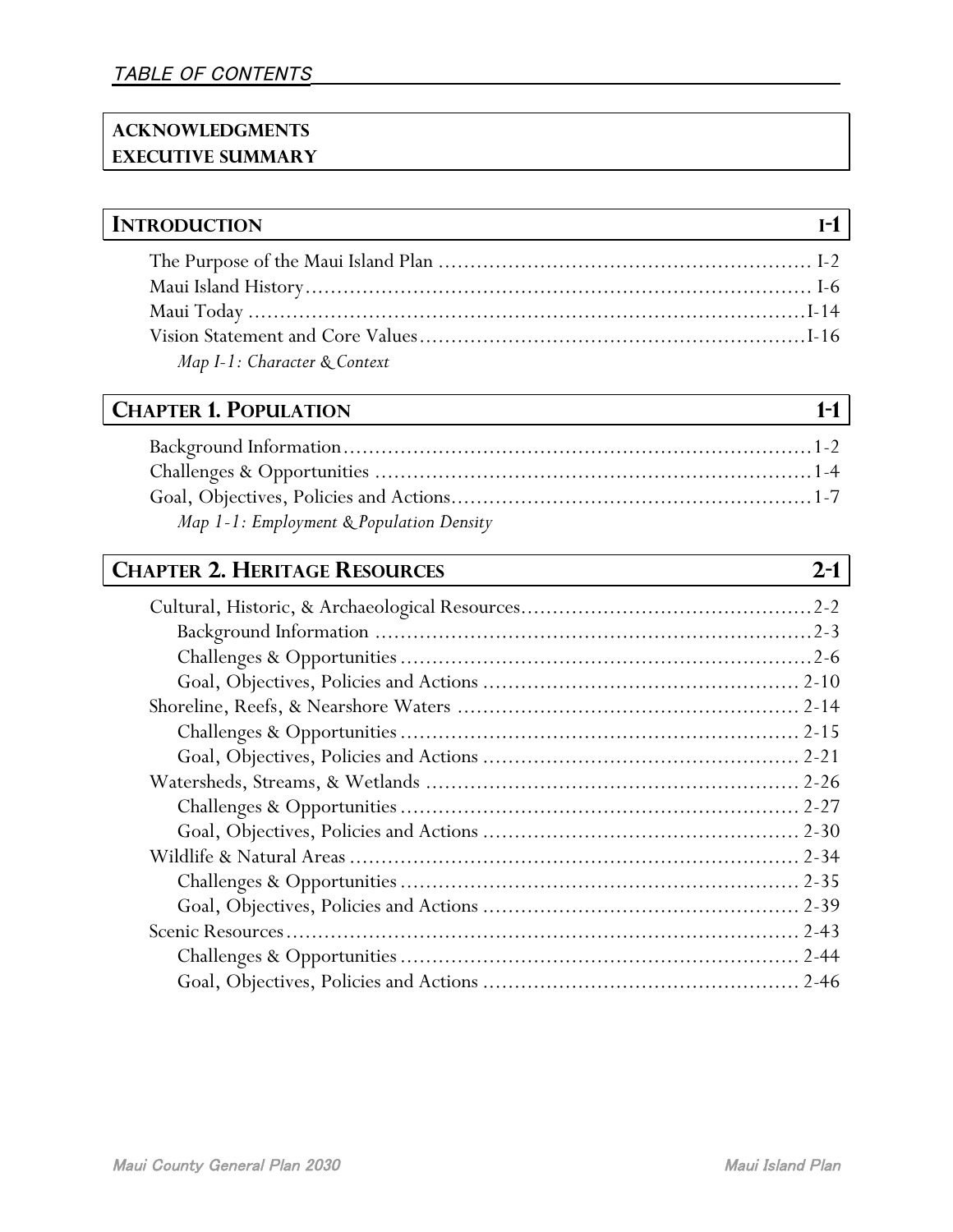#### **ACKNOWLEDGMENTS EXECUTIVE SUMMARY**

## **INTRODUCTION I-1**

| Map I-1: Character & Context |  |
|------------------------------|--|

### **CHAPTER 1. POPULATION 1-1**

| Map 1-1: Employment & Population Density |  |
|------------------------------------------|--|
|                                          |  |

## **CHAPTER 2. HERITAGE RESOURCES 2-1**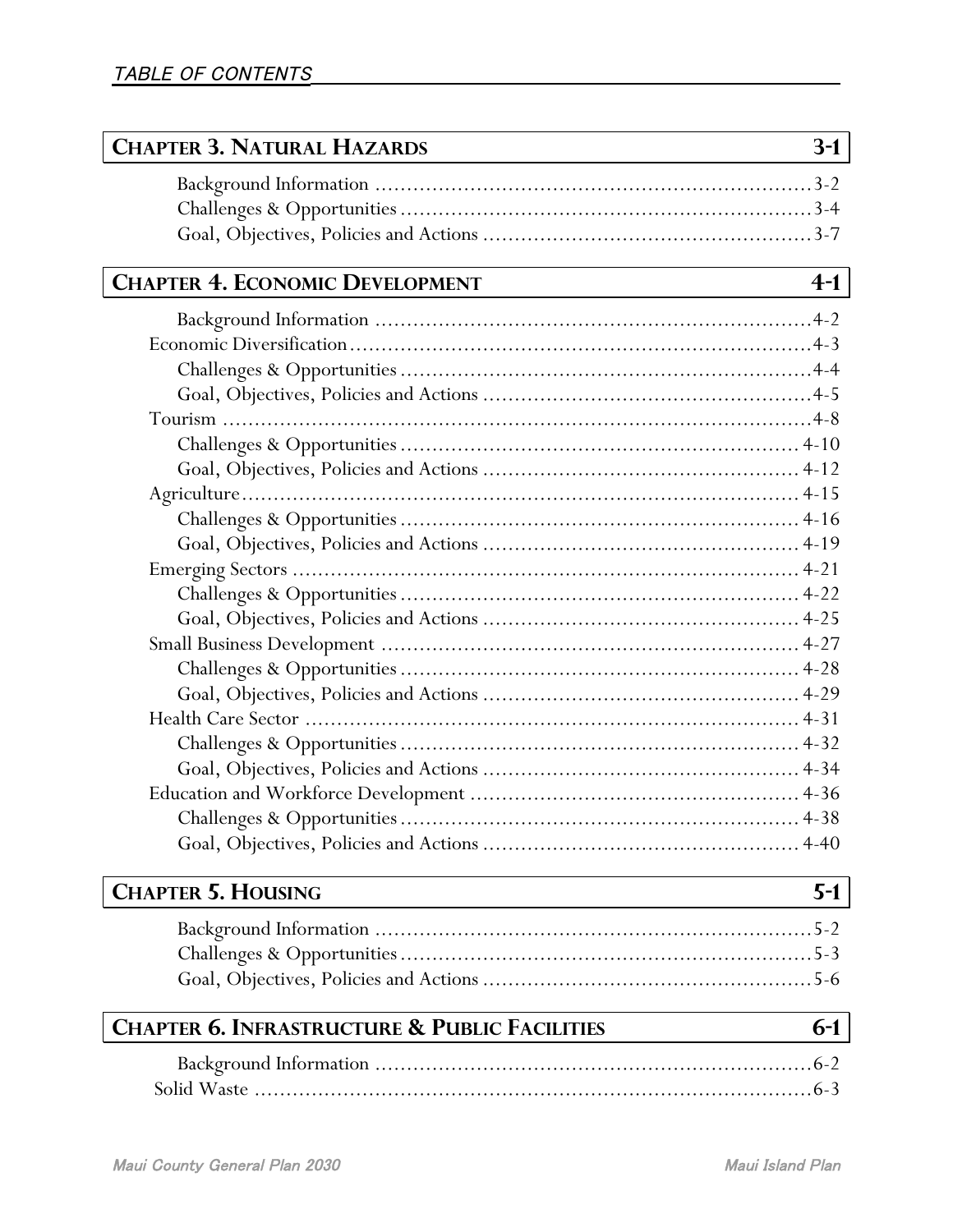| <b>CHAPTER 3. NATURAL HAZARDS</b>                        | $3-1$ |
|----------------------------------------------------------|-------|
|                                                          |       |
|                                                          |       |
|                                                          |       |
|                                                          |       |
| <b>CHAPTER 4. ECONOMIC DEVELOPMENT</b>                   | $4-1$ |
|                                                          |       |
|                                                          |       |
|                                                          |       |
|                                                          |       |
|                                                          |       |
|                                                          |       |
|                                                          |       |
|                                                          |       |
|                                                          |       |
|                                                          |       |
|                                                          |       |
|                                                          |       |
|                                                          |       |
|                                                          |       |
|                                                          |       |
|                                                          |       |
|                                                          |       |
|                                                          |       |
|                                                          |       |
|                                                          |       |
|                                                          |       |
|                                                          |       |
| <b>CHAPTER 5. HOUSING</b>                                | $5-1$ |
|                                                          |       |
|                                                          |       |
|                                                          |       |
| <b>CHAPTER 6. INFRASTRUCTURE &amp; PUBLIC FACILITIES</b> | $6-1$ |
|                                                          |       |
|                                                          |       |
|                                                          |       |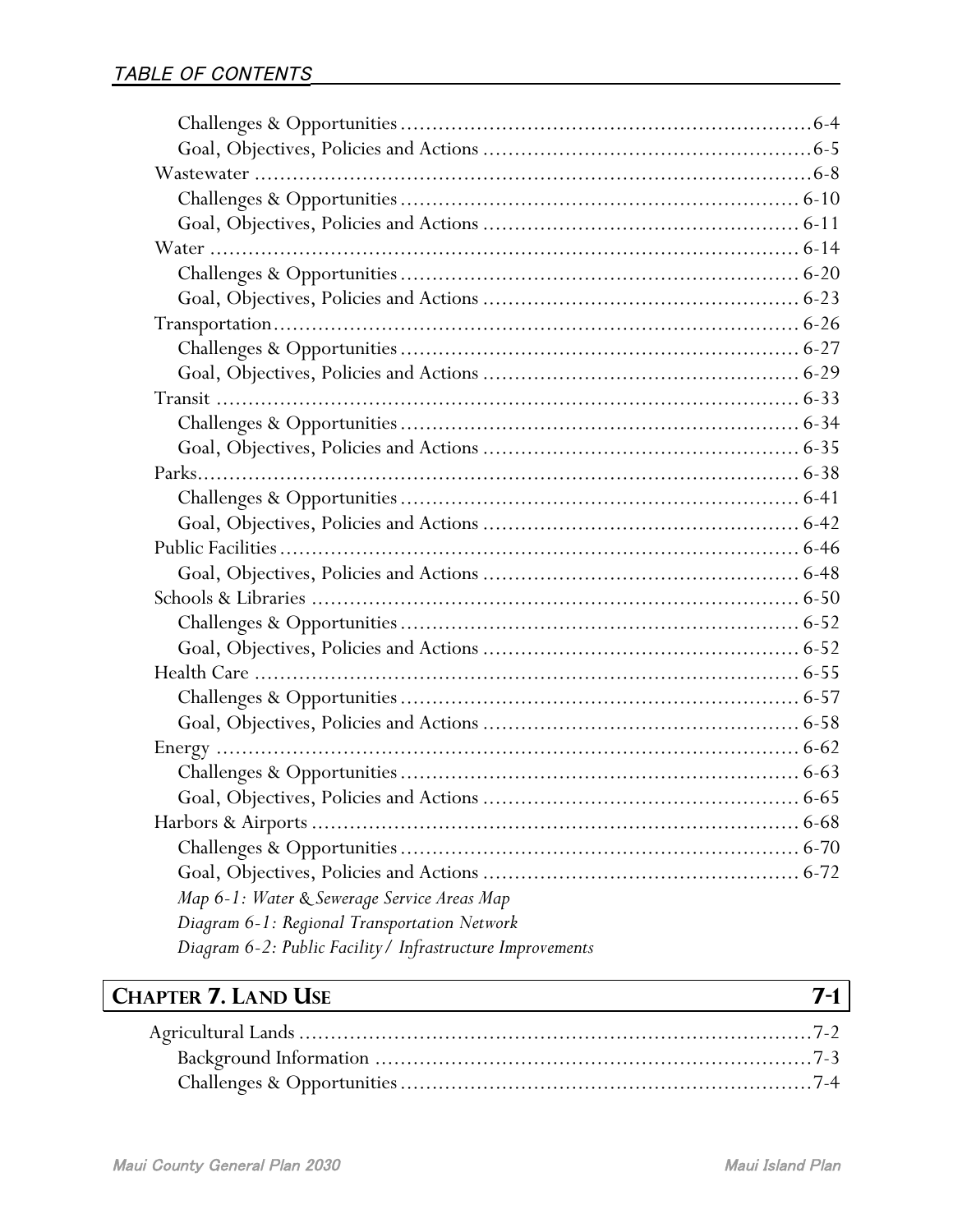| Map 6-1: Water & Sewerage Service Areas Map                |  |
|------------------------------------------------------------|--|
| Diagram 6-1: Regional Transportation Network               |  |
| Diagram 6-2: Public Facility / Infrastructure Improvements |  |

# **CHAPTER 7. LAND USE 7-1**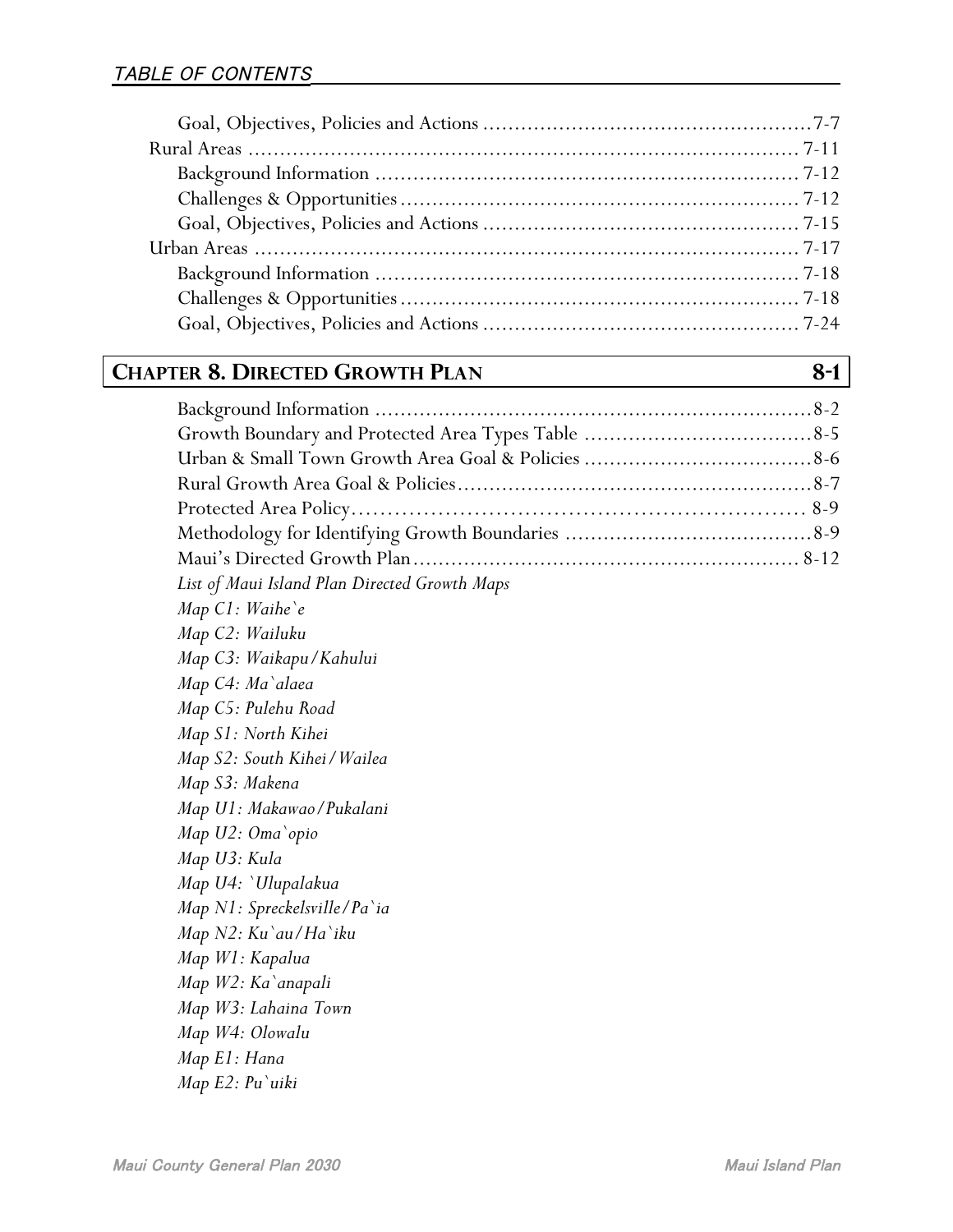# **CHAPTER 8. DIRECTED GROWTH PLAN 8-1**

| List of Maui Island Plan Directed Growth Maps |  |
|-----------------------------------------------|--|
| Map C1: Waihe'e                               |  |
| Map C2: Wailuku                               |  |
| Map C3: Waikapu/Kahului                       |  |
| Map C4: Ma`alaea                              |  |
| Map C5: Pulehu Road                           |  |
| Map S1: North Kihei                           |  |
| Map S2: South Kihei / Wailea                  |  |
| Map S3: Makena                                |  |
| Map U1: Makawao/Pukalani                      |  |
| Map U2: Oma`opio                              |  |
| Map U3: Kula                                  |  |
| Map U4: `Ulupalakua                           |  |
| Map N1: Spreckelsville/Pa`ia                  |  |
| Map N2: Ku`au/Ha`iku                          |  |
| Map W1: Kapalua                               |  |
| Map W2: Ka`anapali                            |  |
| Map W3: Lahaina Town                          |  |
| Map W4: Olowalu                               |  |
| Map E1: Hana                                  |  |
| Map E2: Pu`uiki                               |  |